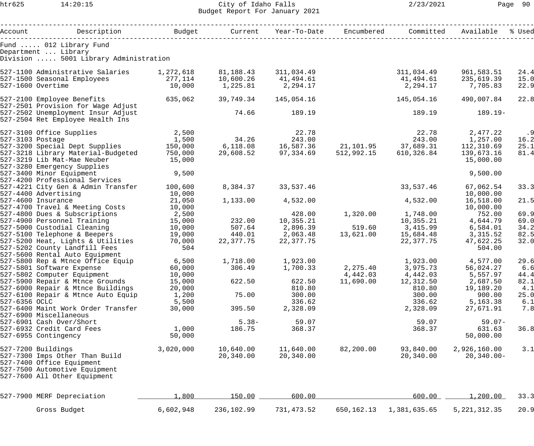## htr625 14:20:15 City of Idaho Falls 2/23/2021 Page 90 Budget Report For January 2021

|                  | Account     Description     Budget   Current Year-To-Date Encumbered                   |                |            |                                                                                                                                           |            | Committed            | Available      | % Used |
|------------------|----------------------------------------------------------------------------------------|----------------|------------|-------------------------------------------------------------------------------------------------------------------------------------------|------------|----------------------|----------------|--------|
|                  | Fund  012 Library Fund<br>Department  Library<br>Division  5001 Library Administration |                |            |                                                                                                                                           |            |                      |                |        |
|                  | 527-1100 Administrative Salaries 1,272,618                                             |                | 81,188.43  | 311,034.49                                                                                                                                |            | 311,034.49           | 961,583.51     | 24.4   |
|                  |                                                                                        |                | 10,600.26  |                                                                                                                                           |            | 41,494.61            | 235,619.39     | 15.0   |
|                  | 527-1500 Seasonal Employees 277,114<br>527-1600 Overtime                               | 10,000         | 1,225.81   | 41,494.61<br>2,294.17                                                                                                                     |            | 2,294.17             | 7,705.83       | 22.9   |
|                  |                                                                                        |                |            |                                                                                                                                           |            |                      |                |        |
|                  | 527-2100 Employee Benefits<br>527-2501 Provision for Wage Adjust                       | 635,062        | 39,749.34  | 145,054.16                                                                                                                                |            | 145,054.16           | 490,007.84     | 22.8   |
|                  | 527-2502 Unemployment Insur Adjust<br>527-2504 Ret Employee Health Ins                 |                | 74.66      | 189.19                                                                                                                                    |            | 189.19               | $189.19-$      |        |
|                  |                                                                                        |                |            |                                                                                                                                           |            |                      |                |        |
|                  | 527-3100 Office Supplies                                                               | 2,500<br>1,500 |            | 22.78                                                                                                                                     |            | 22.78                | 2,477.22       | .9     |
| 527-3103 Postage |                                                                                        |                |            |                                                                                                                                           |            |                      |                | 16.2   |
|                  | 527-3200 Special Dept Supplies                                                         | 150,000        |            | 34.26 243.00 243.00 1,257.00<br>6,118.08 16,587.36 21,101.95 37,689.31 112,310.69<br>29,608.52 97,334.69 512,992.15 610,326.84 139,673.16 |            |                      |                | 25.1   |
|                  | 527-3218 Library Material-Budgeted                                                     | 750,000        |            |                                                                                                                                           |            |                      |                | 81.4   |
|                  | 527-3219 Lib Mat-Mae Neuber                                                            | 15,000         |            |                                                                                                                                           |            |                      | 15,000.00      |        |
|                  | 527-3280 Emergency Supplies                                                            |                |            |                                                                                                                                           |            |                      |                |        |
|                  | 527-3400 Minor Equipment                                                               | 9,500          |            |                                                                                                                                           |            |                      | 9,500.00       |        |
|                  | 527-4200 Professional Services                                                         |                |            |                                                                                                                                           |            |                      |                |        |
|                  | 527-4221 City Gen & Admin Transfer                                                     | 100,600        |            | 8, 384. 37 33, 537. 46                                                                                                                    |            | 33,537.46            | 67,062.54      | 33.3   |
|                  | 527-4400 Advertising                                                                   | 10,000         |            |                                                                                                                                           |            |                      | 10,000.00      |        |
|                  | 527-4600 Insurance                                                                     | 21,050         | 1,133.00   | 4,532.00                                                                                                                                  |            | 4,532.00             | 16,518.00      | 21.5   |
|                  | 527-4700 Travel & Meeting Costs                                                        | 10,000         |            |                                                                                                                                           |            |                      | 10,000.00      |        |
|                  | 527-4800 Dues & Subscriptions                                                          | 2,500          |            | 428.00                                                                                                                                    |            | 1,320.00    1,748.00 | 752.00         | 69.9   |
|                  | 527-4900 Personnel Training                                                            | 15,000         | 232.00     | 10,355.21                                                                                                                                 |            | 10,355.21            | 4,644.79       | 69.0   |
|                  | 527-5000 Custodial Cleaning                                                            | 10,000         | 507.64     |                                                                                                                                           | 519.60     | 3,415.99             | 6,584.01       | 34.2   |
|                  | 527-5100 Telephone & Beepers                                                           | 19,000         |            |                                                                                                                                           | 13,621.00  | 15,684.48            | 3,315.52       | 82.5   |
|                  | 527-5200 Heat, Lights & Utilities                                                      | 70,000         | 22,377.75  | 22,377.75                                                                                                                                 |            | 22,377.75            | 47,622.25      | 32.0   |
|                  | 527-5202 County Landfill Fees                                                          | 504            |            |                                                                                                                                           |            |                      | 504.00         |        |
|                  | 527-5600 Rental Auto Equipment                                                         |                |            |                                                                                                                                           |            |                      |                |        |
|                  | 527-5800 Rep & Mtnce Office Equip                                                      | 6,500          |            |                                                                                                                                           |            |                      |                | 29.6   |
|                  | 527-5801 Software Expense                                                              | 60,000         | 306.49     | 1,700.33                                                                                                                                  | 2,275.40   | 3,975.73             | 56,024.27      | 6.6    |
|                  | 527-5802 Computer Equipment                                                            | 10,000         |            |                                                                                                                                           | 4,442.03   | 4,442.03             | 5,557.97       | 44.4   |
|                  | 527-5900 Repair & Mtnce Grounds                                                        | 15,000         | 622.50     | 622.50                                                                                                                                    | 11,690.00  | 12,312.50            | 2,687.50       | 82.1   |
|                  | 527-6000 Repair & Mtnce Buildings                                                      | 20,000         |            | 810.80                                                                                                                                    |            | 810.80               | 19,189.20      | 4.1    |
|                  | 527-6100 Repair & Mtnce Auto Equip                                                     | 1,200          | 75.00      | 300.00                                                                                                                                    |            | 300.00               | 900.00         | 25.0   |
| 527-6356 OCLC    |                                                                                        | 5,500          |            | 336.62                                                                                                                                    |            | 336.62               | 5,163.38       | 6.1    |
|                  | 527-6400 Maint Work Order Transfer                                                     | 30,000         | 395.50     | 2,328.09                                                                                                                                  |            | 2,328.09             | 27,671.91      | 7.8    |
|                  | 527-6900 Miscellaneous                                                                 |                |            |                                                                                                                                           |            |                      |                |        |
|                  | 527-6901 Cash Over/Short                                                               |                | $5.38-$    | 59.07                                                                                                                                     |            | 59.07                | $59.07-$       |        |
|                  | 527-6932 Credit Card Fees                                                              | 1,000          | 186.75     | 368.37                                                                                                                                    |            | 368.37               | 631.63         | 36.8   |
|                  | 527-6955 Contingency                                                                   | 50,000         |            |                                                                                                                                           |            |                      | 50,000.00      |        |
|                  | 527-7200 Buildings                                                                     | 3,020,000      | 10,640.00  | 11,640.00                                                                                                                                 | 82,200.00  | 93,840.00            | 2,926,160.00   | 3.1    |
|                  | 527-7300 Imps Other Than Build                                                         |                | 20,340.00  | 20,340.00                                                                                                                                 |            | 20,340.00            | $20, 340.00 -$ |        |
|                  | 527-7400 Office Equipment                                                              |                |            |                                                                                                                                           |            |                      |                |        |
|                  | 527-7500 Automotive Equipment                                                          |                |            |                                                                                                                                           |            |                      |                |        |
|                  | 527-7600 All Other Equipment                                                           |                |            |                                                                                                                                           |            |                      |                |        |
|                  |                                                                                        |                |            |                                                                                                                                           |            |                      |                |        |
|                  | 527-7900 MERF Depreciation                                                             | 1,800          | 150.00     | 600.00                                                                                                                                    |            | 600.00               | 1,200.00       | 33.3   |
|                  |                                                                                        |                |            |                                                                                                                                           |            |                      |                |        |
|                  | Gross Budget                                                                           | 6,602,948      | 236,102.99 | 731,473.52                                                                                                                                | 650,162.13 | 1,381,635.65         | 5, 221, 312.35 | 20.9   |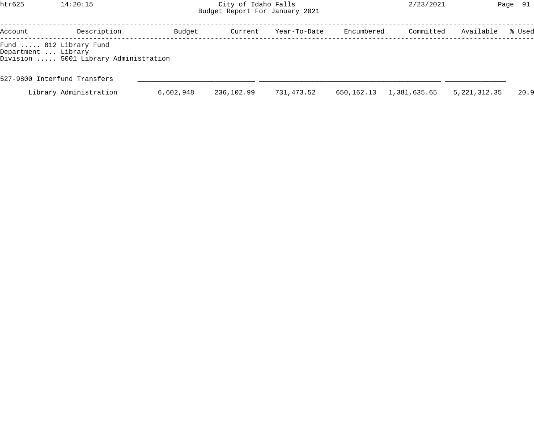htr625 14:20:15 City of Idaho Falls 2/23/2021 Page 91 Budget Report For January 2021

| Description | Budget                                                                                                  | Current                               | Year-To-Date |            | Committed    | Available      | % Used |
|-------------|---------------------------------------------------------------------------------------------------------|---------------------------------------|--------------|------------|--------------|----------------|--------|
|             |                                                                                                         |                                       |              |            |              |                |        |
|             |                                                                                                         |                                       |              |            |              |                |        |
|             | 6,602,948                                                                                               | 236,102.99                            | 731,473.52   | 650,162.13 | 1,381,635.65 | 5, 221, 312.35 | 20.9   |
|             | Fund  012 Library Fund<br>Department  Library<br>527-9800 Interfund Transfers<br>Library Administration | Division  5001 Library Administration |              |            |              | Encumbered     |        |